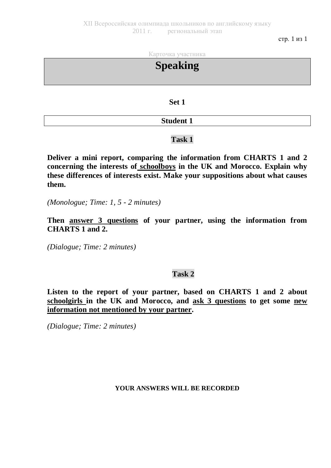стр. 1 из 1

Карточка участника

**Speaking Set 1 Student 1**

## **Task 1**

**Deliver a mini report, comparing the information from CHARTS 1 and 2 concerning the interests of schoolboys in the UK and Morocco. Explain why these differences of interests exist. Make your suppositions about what causes them.**

*(Monologue; Time: 1, 5 - 2 minutes)*

**Then answer 3 questions of your partner, using the information from CHARTS 1 and 2.**

*(Dialogue; Time: 2 minutes)*

## **Task 2**

**Listen to the report of your partner, based on CHARTS 1 and 2 about schoolgirls in the UK and Morocco, and ask 3 questions to get some new information not mentioned by your partner.**

*(Dialogue; Time: 2 minutes)*

## **YOUR ANSWERS WILL BE RECORDED**